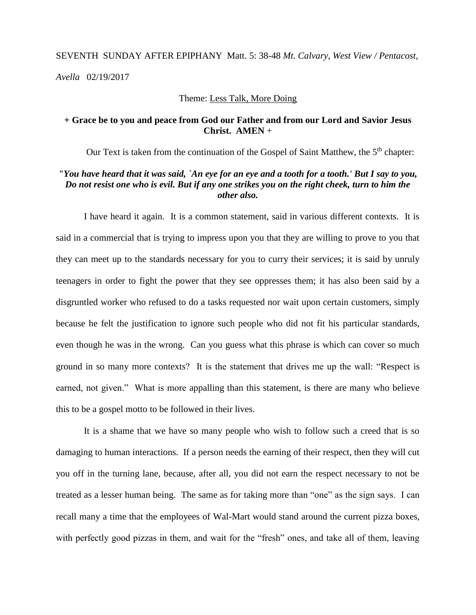# SEVENTH SUNDAY AFTER EPIPHANY Matt. 5: 38-48 *Mt. Calvary, West View / Pentacost, Avella* 02/19/2017

#### Theme: Less Talk, More Doing

#### **+ Grace be to you and peace from God our Father and from our Lord and Savior Jesus Christ. AMEN** +

Our Text is taken from the continuation of the Gospel of Saint Matthew, the 5<sup>th</sup> chapter:

## *"You have heard that it was said, `An eye for an eye and a tooth for a tooth.' But I say to you, Do not resist one who is evil. But if any one strikes you on the right cheek, turn to him the other also.*

I have heard it again. It is a common statement, said in various different contexts. It is said in a commercial that is trying to impress upon you that they are willing to prove to you that they can meet up to the standards necessary for you to curry their services; it is said by unruly teenagers in order to fight the power that they see oppresses them; it has also been said by a disgruntled worker who refused to do a tasks requested nor wait upon certain customers, simply because he felt the justification to ignore such people who did not fit his particular standards, even though he was in the wrong. Can you guess what this phrase is which can cover so much ground in so many more contexts? It is the statement that drives me up the wall: "Respect is earned, not given." What is more appalling than this statement, is there are many who believe this to be a gospel motto to be followed in their lives.

It is a shame that we have so many people who wish to follow such a creed that is so damaging to human interactions. If a person needs the earning of their respect, then they will cut you off in the turning lane, because, after all, you did not earn the respect necessary to not be treated as a lesser human being. The same as for taking more than "one" as the sign says. I can recall many a time that the employees of Wal-Mart would stand around the current pizza boxes, with perfectly good pizzas in them, and wait for the "fresh" ones, and take all of them, leaving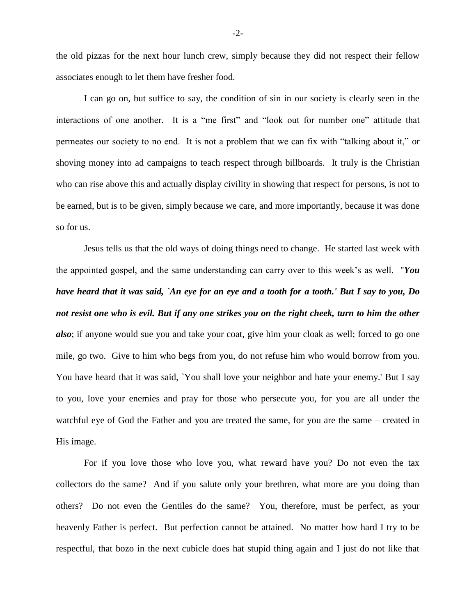the old pizzas for the next hour lunch crew, simply because they did not respect their fellow associates enough to let them have fresher food.

I can go on, but suffice to say, the condition of sin in our society is clearly seen in the interactions of one another. It is a "me first" and "look out for number one" attitude that permeates our society to no end. It is not a problem that we can fix with "talking about it," or shoving money into ad campaigns to teach respect through billboards. It truly is the Christian who can rise above this and actually display civility in showing that respect for persons, is not to be earned, but is to be given, simply because we care, and more importantly, because it was done so for us.

Jesus tells us that the old ways of doing things need to change. He started last week with the appointed gospel, and the same understanding can carry over to this week's as well. "*You have heard that it was said, `An eye for an eye and a tooth for a tooth.' But I say to you, Do not resist one who is evil. But if any one strikes you on the right cheek, turn to him the other also*; if anyone would sue you and take your coat, give him your cloak as well; forced to go one mile, go two. Give to him who begs from you, do not refuse him who would borrow from you. You have heard that it was said, `You shall love your neighbor and hate your enemy.' But I say to you, love your enemies and pray for those who persecute you, for you are all under the watchful eye of God the Father and you are treated the same, for you are the same – created in His image.

For if you love those who love you, what reward have you? Do not even the tax collectors do the same? And if you salute only your brethren, what more are you doing than others? Do not even the Gentiles do the same? You, therefore, must be perfect, as your heavenly Father is perfect. But perfection cannot be attained. No matter how hard I try to be respectful, that bozo in the next cubicle does hat stupid thing again and I just do not like that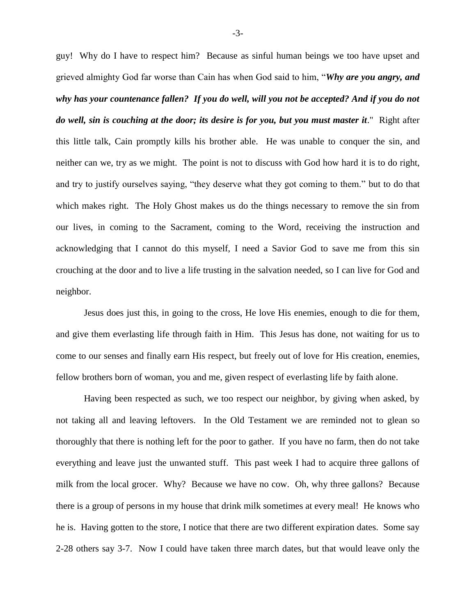guy! Why do I have to respect him? Because as sinful human beings we too have upset and grieved almighty God far worse than Cain has when God said to him, "*Why are you angry, and why has your countenance fallen? If you do well, will you not be accepted? And if you do not do well, sin is couching at the door; its desire is for you, but you must master it*." Right after this little talk, Cain promptly kills his brother able. He was unable to conquer the sin, and neither can we, try as we might. The point is not to discuss with God how hard it is to do right, and try to justify ourselves saying, "they deserve what they got coming to them." but to do that which makes right. The Holy Ghost makes us do the things necessary to remove the sin from our lives, in coming to the Sacrament, coming to the Word, receiving the instruction and acknowledging that I cannot do this myself, I need a Savior God to save me from this sin crouching at the door and to live a life trusting in the salvation needed, so I can live for God and neighbor.

Jesus does just this, in going to the cross, He love His enemies, enough to die for them, and give them everlasting life through faith in Him. This Jesus has done, not waiting for us to come to our senses and finally earn His respect, but freely out of love for His creation, enemies, fellow brothers born of woman, you and me, given respect of everlasting life by faith alone.

Having been respected as such, we too respect our neighbor, by giving when asked, by not taking all and leaving leftovers. In the Old Testament we are reminded not to glean so thoroughly that there is nothing left for the poor to gather. If you have no farm, then do not take everything and leave just the unwanted stuff. This past week I had to acquire three gallons of milk from the local grocer. Why? Because we have no cow. Oh, why three gallons? Because there is a group of persons in my house that drink milk sometimes at every meal! He knows who he is. Having gotten to the store, I notice that there are two different expiration dates. Some say 2-28 others say 3-7. Now I could have taken three march dates, but that would leave only the